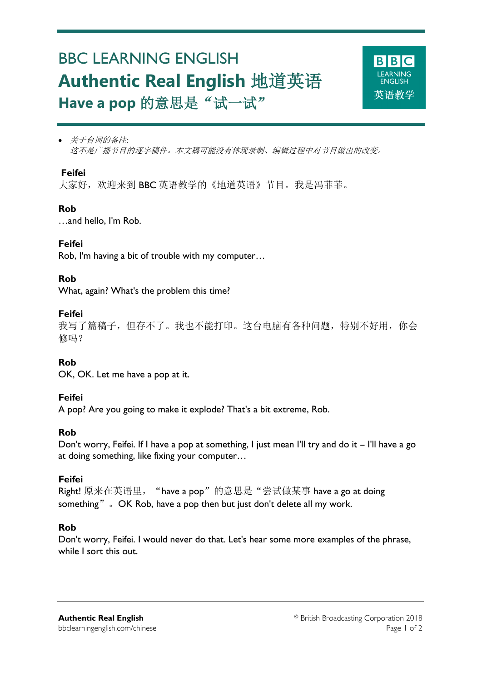# BBC LEARNING ENGLISH **Authentic Real English** 地道英语 Have a pop 的意思是"试一试"



 关于台词的备注*:* 这不是广播节目的逐字稿件。本文稿可能没有体现录制、编辑过程中对节目做出的改变。

### **Feifei**

Ξ

大家好,欢迎来到 BBC 英语教学的《地道英语》节目。我是冯菲菲。

# **Rob**

…and hello, I'm Rob.

### **Feifei**

Rob, I'm having a bit of trouble with my computer…

# **Rob**

What, again? What's the problem this time?

### **Feifei**

我写了篇稿子,但存不了。我也不能打印。这台电脑有各种问题,特别不好用,你会 修吗?

# **Rob**

OK, OK. Let me have a pop at it.

# **Feifei**

A pop? Are you going to make it explode? That's a bit extreme, Rob.

#### **Rob**

Don't worry, Feifei. If I have a pop at something, I just mean I'll try and do it – I'll have a go at doing something, like fixing your computer…

# **Feifei**

Right! 原来在英语里, "have a pop"的意思是"尝试做某事 have a go at doing something" . OK Rob, have a pop then but just don't delete all my work.

# **Rob**

Don't worry, Feifei. I would never do that. Let's hear some more examples of the phrase, while I sort this out.